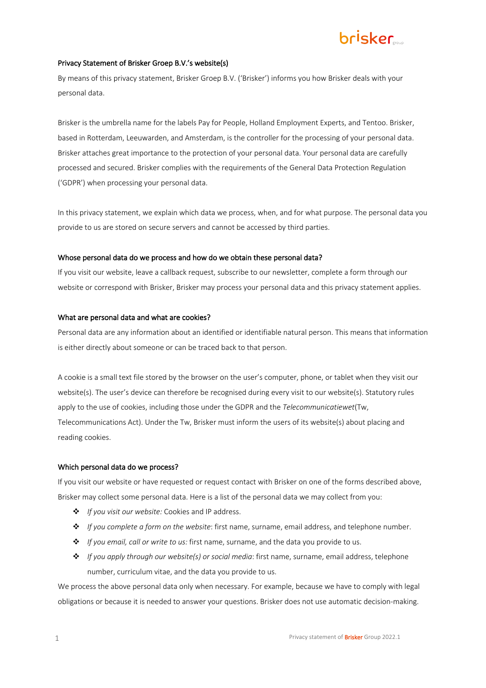### Privacy Statement of Brisker Groep B.V.'s website(s)

By means of this privacy statement, Brisker Groep B.V. ('Brisker') informs you how Brisker deals with your personal data.

Brisker is the umbrella name for the labels Pay for People, Holland Employment Experts, and Tentoo. Brisker, based in Rotterdam, Leeuwarden, and Amsterdam, is the controller for the processing of your personal data. Brisker attaches great importance to the protection of your personal data. Your personal data are carefully processed and secured. Brisker complies with the requirements of the General Data Protection Regulation ('GDPR') when processing your personal data.

In this privacy statement, we explain which data we process, when, and for what purpose. The personal data you provide to us are stored on secure servers and cannot be accessed by third parties.

### Whose personal data do we process and how do we obtain these personal data?

If you visit our website, leave a callback request, subscribe to our newsletter, complete a form through our website or correspond with Brisker, Brisker may process your personal data and this privacy statement applies.

### What are personal data and what are cookies?

Personal data are any information about an identified or identifiable natural person. This means that information is either directly about someone or can be traced back to that person.

A cookie is a small text file stored by the browser on the user's computer, phone, or tablet when they visit our website(s). The user's device can therefore be recognised during every visit to our website(s). Statutory rules apply to the use of cookies, including those under the GDPR and the *Telecommunicatiewet*(Tw, Telecommunications Act). Under the Tw, Brisker must inform the users of its website(s) about placing and reading cookies.

### Which personal data do we process?

If you visit our website or have requested or request contact with Brisker on one of the forms described above, Brisker may collect some personal data. Here is a list of the personal data we may collect from you:

- v *If you visit our website:* Cookies and IP address.
- v *If you complete a form on the website*: first name, surname, email address, and telephone number.
- v *If you email, call or write to us:* first name, surname, and the data you provide to us.
- v *If you apply through our website(s) or social media*: first name, surname, email address, telephone number, curriculum vitae, and the data you provide to us.

We process the above personal data only when necessary. For example, because we have to comply with legal obligations or because it is needed to answer your questions. Brisker does not use automatic decision-making.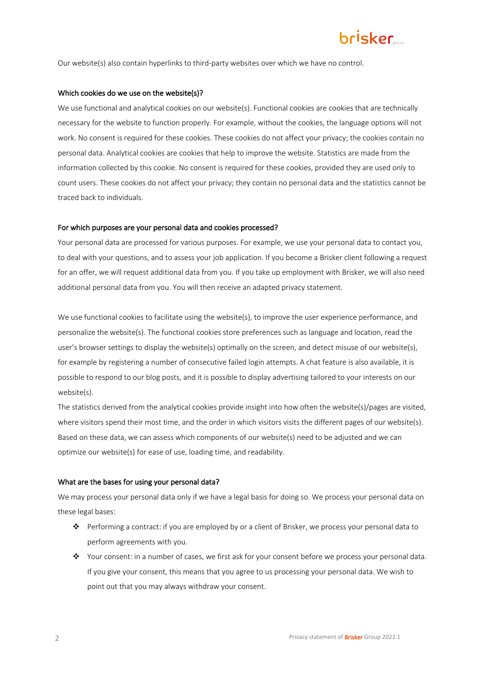Our website(s) also contain hyperlinks to third-party websites over which we have no control.

### Which cookies do we use on the website(s)?

We use functional and analytical cookies on our website(s). Functional cookies are cookies that are technically necessary for the website to function properly. For example, without the cookies, the language options will not work. No consent is required for these cookies. These cookies do not affect your privacy; the cookies contain no personal data. Analytical cookies are cookies that help to improve the website. Statistics are made from the information collected by this cookie. No consent is required for these cookies, provided they are used only to count users. These cookies do not affect your privacy; they contain no personal data and the statistics cannot be traced back to individuals.

### For which purposes are your personal data and cookies processed?

Your personal data are processed for various purposes. For example, we use your personal data to contact you, to deal with your questions, and to assess your job application. If you become a Brisker client following a request for an offer, we will request additional data from you. If you take up employment with Brisker, we will also need additional personal data from you. You will then receive an adapted privacy statement.

We use functional cookies to facilitate using the website(s), to improve the user experience performance, and personalize the website(s). The functional cookies store preferences such as language and location, read the user's browser settings to display the website(s) optimally on the screen, and detect misuse of our website(s), for example by registering a number of consecutive failed login attempts. A chat feature is also available, it is possible to respond to our blog posts, and it is possible to display advertising tailored to your interests on our website(s).

The statistics derived from the analytical cookies provide insight into how often the website(s)/pages are visited, where visitors spend their most time, and the order in which visitors visits the different pages of our website(s). Based on these data, we can assess which components of our website(s) need to be adjusted and we can optimize our website(s) for ease of use, loading time, and readability.

#### What are the bases for using your personal data?

We may process your personal data only if we have a legal basis for doing so. We process your personal data on these legal bases:

- v Performing a contract: if you are employed by or a client of Brisker, we process your personal data to perform agreements with you.
- $\clubsuit$  Your consent: in a number of cases, we first ask for your consent before we process your personal data. If you give your consent, this means that you agree to us processing your personal data. We wish to point out that you may always withdraw your consent.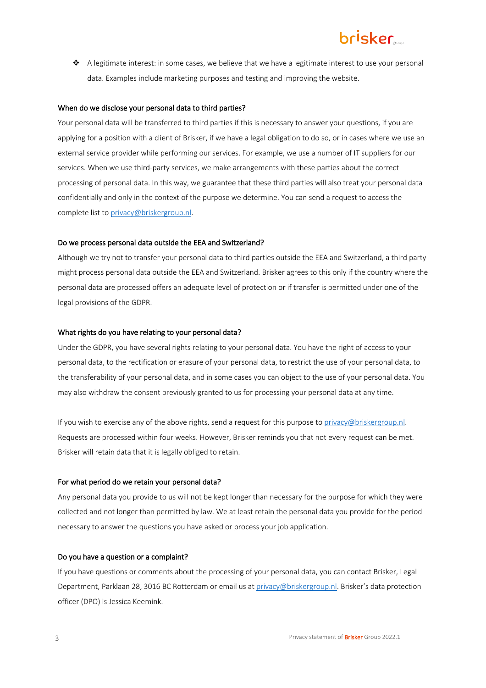$\triangle$  A legitimate interest: in some cases, we believe that we have a legitimate interest to use your personal data. Examples include marketing purposes and testing and improving the website.

### When do we disclose your personal data to third parties?

Your personal data will be transferred to third parties if this is necessary to answer your questions, if you are applying for a position with a client of Brisker, if we have a legal obligation to do so, or in cases where we use an external service provider while performing our services. For example, we use a number of IT suppliers for our services. When we use third-party services, we make arrangements with these parties about the correct processing of personal data. In this way, we guarantee that these third parties will also treat your personal data confidentially and only in the context of the purpose we determine. You can send a request to access the complete list to privacy@briskergroup.nl.

### Do we process personal data outside the EEA and Switzerland?

Although we try not to transfer your personal data to third parties outside the EEA and Switzerland, a third party might process personal data outside the EEA and Switzerland. Brisker agrees to this only if the country where the personal data are processed offers an adequate level of protection or if transfer is permitted under one of the legal provisions of the GDPR.

#### What rights do you have relating to your personal data?

Under the GDPR, you have several rights relating to your personal data. You have the right of access to your personal data, to the rectification or erasure of your personal data, to restrict the use of your personal data, to the transferability of your personal data, and in some cases you can object to the use of your personal data. You may also withdraw the consent previously granted to us for processing your personal data at any time.

If you wish to exercise any of the above rights, send a request for this purpose to privacy@briskergroup.nl. Requests are processed within four weeks. However, Brisker reminds you that not every request can be met. Brisker will retain data that it is legally obliged to retain.

#### For what period do we retain your personal data?

Any personal data you provide to us will not be kept longer than necessary for the purpose for which they were collected and not longer than permitted by law. We at least retain the personal data you provide for the period necessary to answer the questions you have asked or process your job application.

### Do you have a question or a complaint?

If you have questions or comments about the processing of your personal data, you can contact Brisker, Legal Department, Parklaan 28, 3016 BC Rotterdam or email us at privacy@briskergroup.nl. Brisker's data protection officer (DPO) is Jessica Keemink.